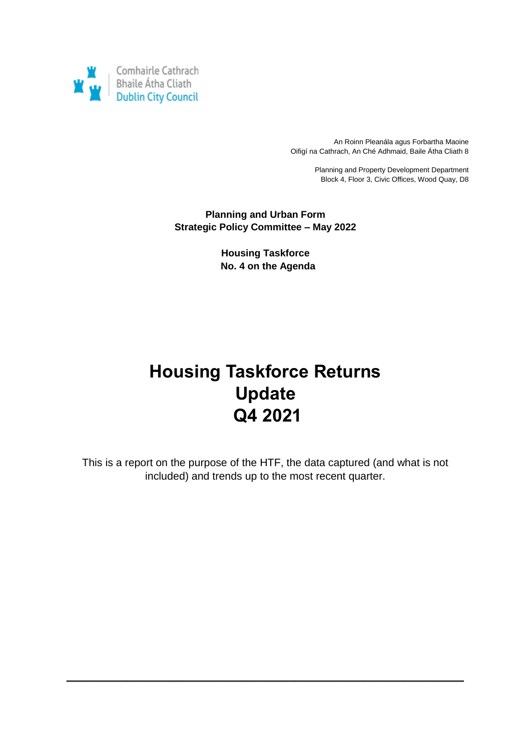

An Roinn Pleanála agus Forbartha Maoine Oifigí na Cathrach, An Ché Adhmaid, Baile Átha Cliath 8

> Planning and Property Development Department Block 4, Floor 3, Civic Offices, Wood Quay, D8

**Planning and Urban Form Strategic Policy Committee – May 2022**

> **Housing Taskforce No. 4 on the Agenda**

# **Housing Taskforce Returns Update Q4 2021**

This is a report on the purpose of the HTF, the data captured (and what is not included) and trends up to the most recent quarter.

**\_\_\_\_\_\_\_\_\_\_\_\_\_\_\_\_\_\_\_\_\_\_\_\_\_\_\_\_\_\_\_\_\_\_\_\_\_\_\_\_**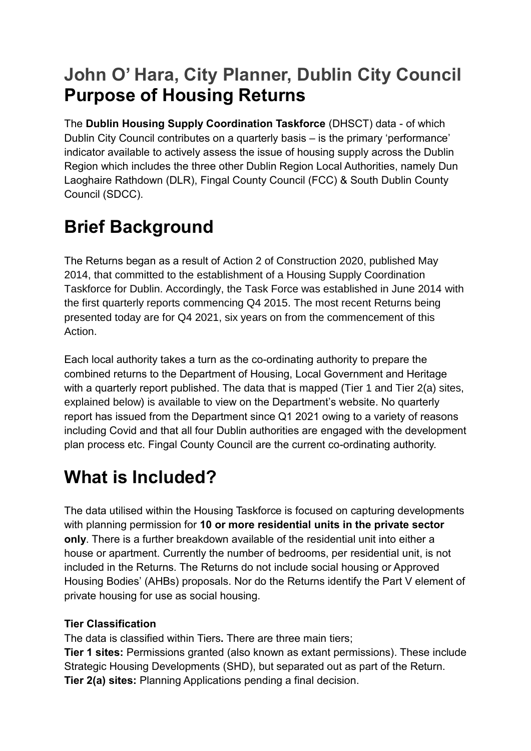# **John O' Hara, City Planner, Dublin City Council Purpose of Housing Returns**

The **Dublin Housing Supply Coordination Taskforce** (DHSCT) data - of which Dublin City Council contributes on a quarterly basis – is the primary 'performance' indicator available to actively assess the issue of housing supply across the Dublin Region which includes the three other Dublin Region Local Authorities, namely Dun Laoghaire Rathdown (DLR), Fingal County Council (FCC) & South Dublin County Council (SDCC).

# **Brief Background**

The Returns began as a result of Action 2 of Construction 2020, published May 2014, that committed to the establishment of a Housing Supply Coordination Taskforce for Dublin. Accordingly, the Task Force was established in June 2014 with the first quarterly reports commencing Q4 2015. The most recent Returns being presented today are for Q4 2021, six years on from the commencement of this Action.

Each local authority takes a turn as the co-ordinating authority to prepare the combined returns to the Department of Housing, Local Government and Heritage with a quarterly report published. The data that is mapped (Tier 1 and Tier 2(a) sites, explained below) is available to view on the Department's website. No quarterly report has issued from the Department since Q1 2021 owing to a variety of reasons including Covid and that all four Dublin authorities are engaged with the development plan process etc. Fingal County Council are the current co-ordinating authority.

# **What is Included?**

The data utilised within the Housing Taskforce is focused on capturing developments with planning permission for **10 or more residential units in the private sector only**. There is a further breakdown available of the residential unit into either a house or apartment. Currently the number of bedrooms, per residential unit, is not included in the Returns. The Returns do not include social housing or Approved Housing Bodies' (AHBs) proposals. Nor do the Returns identify the Part V element of private housing for use as social housing.

## **Tier Classification**

The data is classified within Tiers**.** There are three main tiers;

**Tier 1 sites:** Permissions granted (also known as extant permissions). These include Strategic Housing Developments (SHD), but separated out as part of the Return. **Tier 2(a) sites:** Planning Applications pending a final decision.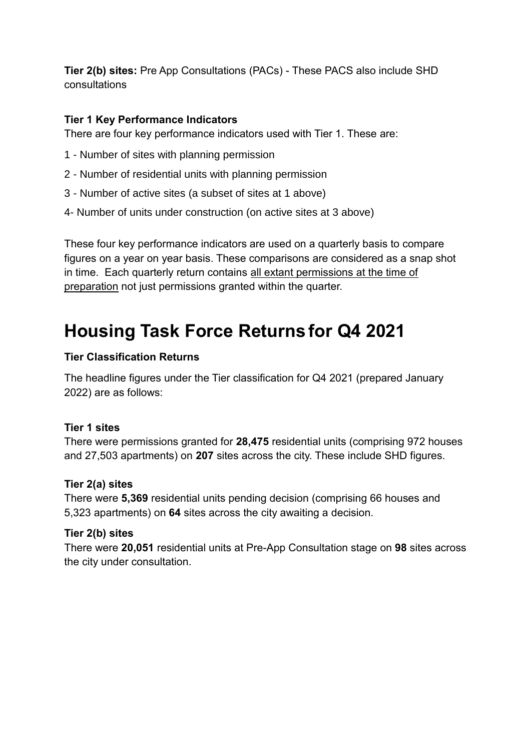**Tier 2(b) sites:** Pre App Consultations (PACs) - These PACS also include SHD consultations

## **Tier 1 Key Performance Indicators**

There are four key performance indicators used with Tier 1. These are:

- 1 Number of sites with planning permission
- 2 Number of residential units with planning permission
- 3 Number of active sites (a subset of sites at 1 above)
- 4- Number of units under construction (on active sites at 3 above)

These four key performance indicators are used on a quarterly basis to compare figures on a year on year basis. These comparisons are considered as a snap shot in time. Each quarterly return contains all extant permissions at the time of preparation not just permissions granted within the quarter.

# **Housing Task Force Returns for Q4 2021**

#### **Tier Classification Returns**

The headline figures under the Tier classification for Q4 2021 (prepared January 2022) are as follows:

#### **Tier 1 sites**

There were permissions granted for **28,475** residential units (comprising 972 houses and 27,503 apartments) on **207** sites across the city. These include SHD figures.

#### **Tier 2(a) sites**

There were **5,369** residential units pending decision (comprising 66 houses and 5,323 apartments) on **64** sites across the city awaiting a decision.

#### **Tier 2(b) sites**

There were **20,051** residential units at Pre-App Consultation stage on **98** sites across the city under consultation.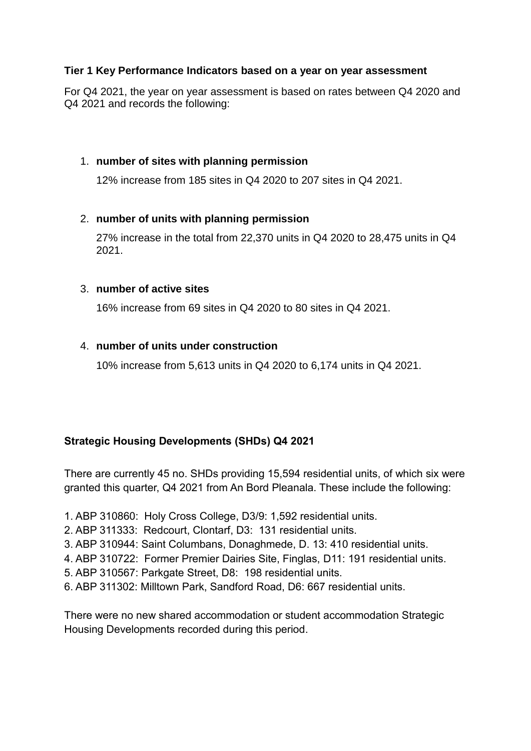#### **Tier 1 Key Performance Indicators based on a year on year assessment**

For Q4 2021, the year on year assessment is based on rates between Q4 2020 and Q4 2021 and records the following:

#### 1. **number of sites with planning permission**

12% increase from 185 sites in Q4 2020 to 207 sites in Q4 2021.

#### 2. **number of units with planning permission**

27% increase in the total from 22,370 units in Q4 2020 to 28,475 units in Q4 2021.

#### 3. **number of active sites**

16% increase from 69 sites in Q4 2020 to 80 sites in Q4 2021.

### 4. **number of units under construction**

10% increase from 5,613 units in Q4 2020 to 6,174 units in Q4 2021.

### **Strategic Housing Developments (SHDs) Q4 2021**

There are currently 45 no. SHDs providing 15,594 residential units, of which six were granted this quarter, Q4 2021 from An Bord Pleanala. These include the following:

- 1. ABP 310860: Holy Cross College, D3/9: 1,592 residential units.
- 2. ABP 311333: Redcourt, Clontarf, D3: 131 residential units.
- 3. ABP 310944: Saint Columbans, Donaghmede, D. 13: 410 residential units.
- 4. ABP 310722: Former Premier Dairies Site, Finglas, D11: 191 residential units.
- 5. ABP 310567: Parkgate Street, D8: 198 residential units.
- 6. ABP 311302: Milltown Park, Sandford Road, D6: 667 residential units.

There were no new shared accommodation or student accommodation Strategic Housing Developments recorded during this period.